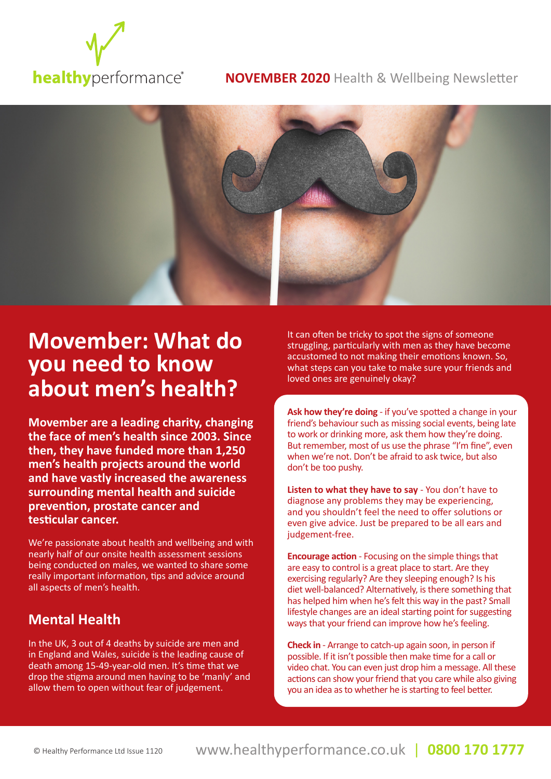

#### **NOVEMBER 2020** Health & Wellbeing Newsletter



# **Movember: What do you need to know about men's health?**

**Movember are a leading charity, changing the face of men's health since 2003. Since then, they have funded more than 1,250 men's health projects around the world and have vastly increased the awareness surrounding mental health and suicide prevention, prostate cancer and testicular cancer.**

We're passionate about health and wellbeing and with nearly half of our onsite health assessment sessions being conducted on males, we wanted to share some really important information, tips and advice around all aspects of men's health.

### **Mental Health**

In the UK, 3 out of 4 deaths by suicide are men and in England and Wales, suicide is the leading cause of death among 15-49-year-old men. It's time that we drop the stigma around men having to be 'manly' and allow them to open without fear of judgement.

It can often be tricky to spot the signs of someone struggling, particularly with men as they have become accustomed to not making their emotions known. So, what steps can you take to make sure your friends and loved ones are genuinely okay?

**Ask how they're doing** - if you've spotted a change in your friend's behaviour such as missing social events, being late to work or drinking more, ask them how they're doing. But remember, most of us use the phrase "I'm fine", even when we're not. Don't be afraid to ask twice, but also don't be too pushy.

**Listen to what they have to say** - You don't have to diagnose any problems they may be experiencing, and you shouldn't feel the need to offer solutions or even give advice. Just be prepared to be all ears and judgement-free.

**Encourage action** - Focusing on the simple things that are easy to control is a great place to start. Are they exercising regularly? Are they sleeping enough? Is his diet well-balanced? Alternatively, is there something that has helped him when he's felt this way in the past? Small lifestyle changes are an ideal starting point for suggesting ways that your friend can improve how he's feeling.

**Check in** - Arrange to catch-up again soon, in person if possible. If it isn't possible then make time for a call or video chat. You can even just drop him a message. All these actions can show your friend that you care while also giving you an idea as to whether he is starting to feel better.